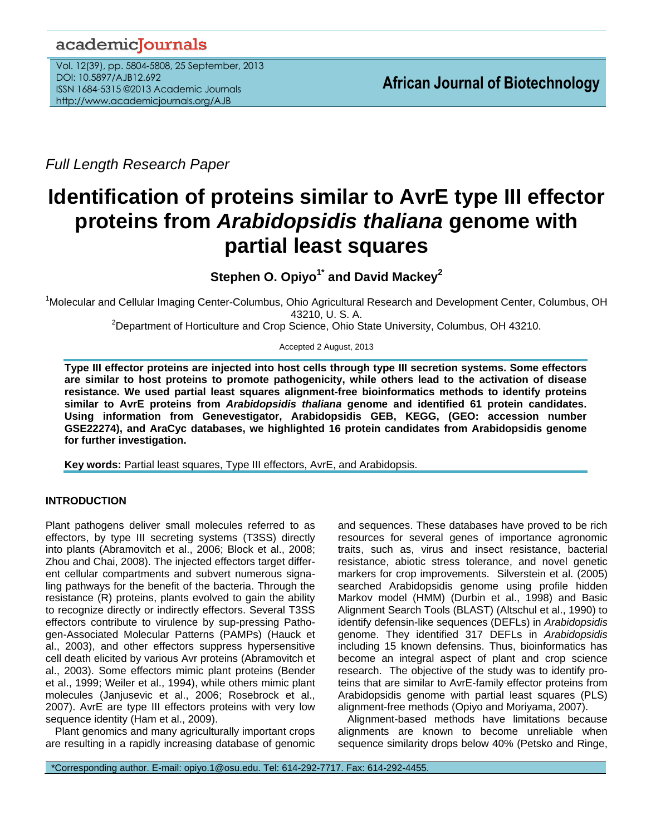# academicJournals

Vol. 12(39), pp. 5804-5808, 25 September, 2013 DOI: 10.5897/AJB12.692 ISSN 1684-5315 ©2013 Academic Journals http://www.academicjournals.org/AJB

*Full Length Research Paper*

# **Identification of proteins similar to AvrE type III effector proteins from** *Arabidopsidis thaliana* **genome with partial least squares**

**Stephen O. Opiyo1\* and David Mackey<sup>2</sup>**

<sup>1</sup>Molecular and Cellular Imaging Center-Columbus, Ohio Agricultural Research and Development Center, Columbus, OH 43210, U. S. A.

<sup>2</sup>Department of Horticulture and Crop Science, Ohio State University, Columbus, OH 43210.

## Accepted 2 August, 2013

**Type III effector proteins are injected into host cells through type III secretion systems. Some effectors are similar to host proteins to promote pathogenicity, while others lead to the activation of disease resistance. We used partial least squares alignment-free bioinformatics methods to identify proteins similar to AvrE proteins from** *Arabidopsidis thaliana* **genome and identified 61 protein candidates. Using information from Genevestigator, Arabidopsidis GEB, KEGG, (GEO: accession number GSE22274), and AraCyc databases, we highlighted 16 protein candidates from Arabidopsidis genome for further investigation.** 

**Key words:** Partial least squares, Type III effectors, AvrE, and Arabidopsis.

# **INTRODUCTION**

Plant pathogens deliver small molecules referred to as effectors, by type III secreting systems (T3SS) directly into plants [\(Abramovitch et al., 2006;](#page-4-0) [Block et al., 2008;](#page-4-1) Zhou and Chai, 2008). The injected effectors target different cellular compartments and subvert numerous signaling pathways for the benefit of the bacteria. Through the resistance (R) proteins, plants evolved to gain the ability to recognize directly or indirectly effectors. Several T3SS effectors contribute to virulence by sup-pressing Pathogen-Associated Molecular Patterns (PAMPs) [\(Hauck et](#page-4-2)  [al., 2003\)](#page-4-2), and other effectors suppress hypersensitive cell death elicited by various Avr proteins [\(Abramovitch et](#page-4-3)  [al., 2003\)](#page-4-3). Some effectors mimic plant proteins (Bender et al., 1999; [Weiler et al., 1994\)](#page-4-4), while others mimic plant molecules [\(Janjusevic et al., 2006;](#page-4-5) [Rosebrock et al.,](#page-4-6)  [2007\)](#page-4-6). AvrE are type III effectors proteins with very low sequence identity [\(Ham et al., 2009\)](#page-4-7).

Plant genomics and many agriculturally important crops are resulting in a rapidly increasing database of genomic and sequences. These databases have proved to be rich resources for several genes of importance agronomic traits, such as, virus and insect resistance, bacterial resistance, abiotic stress tolerance, and novel genetic markers for crop improvements. Silverstein et al. (2005) searched Arabidopsidis genome using profile hidden Markov model (HMM) [\(Durbin et al., 1998\)](#page-4-8) and Basic Alignment Search Tools (BLAST) [\(Altschul et al., 1990\)](#page-4-9) to identify defensin-like sequences (DEFLs) in *Arabidopsidis* genome. They identified 317 DEFLs in *Arabidopsidis* including 15 known defensins. Thus, bioinformatics has become an integral aspect of plant and crop science research. The objective of the study was to identify proteins that are similar to AvrE-family effector proteins from Arabidopsidis genome with partial least squares (PLS) alignment-free methods (Opiyo and Moriyama, 2007).

Alignment-based methods have limitations because alignments are known to become unreliable when sequence similarity drops below 40% (Petsko and Ringe,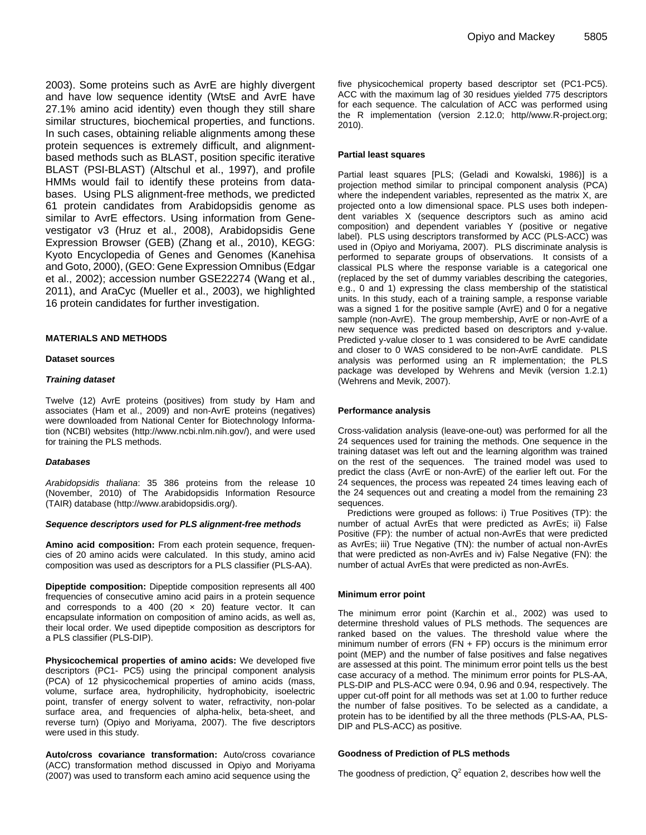2003). Some proteins such as AvrE are highly divergent and have low sequence identity (WtsE and AvrE have 27.1% amino acid identity) even though they still share similar structures, biochemical properties, and functions. In such cases, obtaining reliable alignments among these protein sequences is extremely difficult, and alignmentbased methods such as BLAST, position specific iterative BLAST (PSI-BLAST) [\(Altschul et al.,](#page-4-10) 1997), and profile HMMs would fail to identify these proteins from databases. Using PLS alignment-free methods, we predicted 61 protein candidates from Arabidopsidis genome as similar to AvrE effectors. Using information from Genevestigator v3 [\(Hruz et al., 2008\)](#page-4-11), Arabidopsidis Gene Expression Browser (GEB) [\(Zhang et al., 2010\)](#page-4-12), KEGG: Kyoto Encyclopedia of Genes and Genomes (Kanehisa and Goto, 2000), (GEO: Gene Expression Omnibus [\(Edgar](#page-4-13)  [et al., 2002\)](#page-4-13); accession number GSE22274 [\(Wang et al.,](#page-4-14) [2011\)](#page-4-14), and AraCyc [\(Mueller et al., 2003\)](#page-4-15), we highlighted 16 protein candidates for further investigation.

#### **MATERIALS AND METHODS**

#### **Dataset sources**

#### *Training dataset*

Twelve (12) AvrE proteins (positives) from study by Ham and associates [\(Ham et al., 2009\)](#page-4-7) and non-AvrE proteins (negatives) were downloaded from National Center for Biotechnology Information (NCBI) websites [\(http://www.ncbi.nlm.nih.gov/\)](http://www.ncbi.nlm.nih.gov/), and were used for training the PLS methods.

#### *Databases*

*Arabidopsidis thaliana*: 35 386 proteins from the release 10 (November, 2010) of The Arabidopsidis Information Resource (TAIR) database (http://www.arabidopsidis.org/).

#### *Sequence descriptors used for PLS alignment-free methods*

**Amino acid composition:** From each protein sequence, frequencies of 20 amino acids were calculated. In this study, amino acid composition was used as descriptors for a PLS classifier (PLS-AA).

**Dipeptide composition:** Dipeptide composition represents all 400 frequencies of consecutive amino acid pairs in a protein sequence and corresponds to a 400 (20  $\times$  20) feature vector. It can encapsulate information on composition of amino acids, as well as, their local order. We used dipeptide composition as descriptors for a PLS classifier (PLS-DIP).

**Physicochemical properties of amino acids:** We developed five descriptors (PC1- PC5) using the principal component analysis (PCA) of 12 physicochemical properties of amino acids (mass, volume, surface area, hydrophilicity, hydrophobicity, isoelectric point, transfer of energy solvent to water, refractivity, non-polar surface area, and frequencies of alpha-helix, beta-sheet, and reverse turn) (Opiyo and Moriyama, 2007). The five descriptors were used in this study.

**Auto/cross covariance transformation:** Auto/cross covariance (ACC) transformation method discussed in Opiyo [and Moriyama](#page-4-16)  [\(2007\)](#page-4-16) was used to transform each amino acid sequence using the

five physicochemical property based descriptor set (PC1-PC5). ACC with the maximum lag of 30 residues yielded 775 descriptors for each sequence. The calculation of ACC was performed using the R implementation (version 2.12.0; http//www.R-project.org; 2010).

#### **Partial least squares**

Partial least squares [PLS; [\(Geladi and Kowalski, 1986\)](#page-4-17)] is a projection method similar to principal component analysis (PCA) where the independent variables, represented as the matrix X, are projected onto a low dimensional space. PLS uses both independent variables X (sequence descriptors such as amino acid composition) and dependent variables Y (positive or negative label). PLS using descriptors transformed by ACC (PLS-ACC) was used in [\(Opiyo and Moriyama, 2007\)](#page-4-16). PLS discriminate analysis is performed to separate groups of observations. It consists of a classical PLS where the response variable is a categorical one (replaced by the set of dummy variables describing the categories, e.g., 0 and 1) expressing the class membership of the statistical units. In this study, each of a training sample, a response variable was a signed 1 for the positive sample (AvrE) and 0 for a negative sample (non-AvrE). The group membership, AvrE or non-AvrE of a new sequence was predicted based on descriptors and y-value. Predicted y-value closer to 1 was considered to be AvrE candidate and closer to 0 WAS considered to be non-AvrE candidate. PLS analysis was performed using an R implementation; the PLS package was developed by Wehrens and Mevik (version 1.2.1) [\(Wehrens and Mevik, 2007\)](#page-4-18).

#### **Performance analysis**

Cross-validation analysis (leave-one-out) was performed for all the 24 sequences used for training the methods. One sequence in the training dataset was left out and the learning algorithm was trained on the rest of the sequences. The trained model was used to predict the class (AvrE or non-AvrE) of the earlier left out. For the 24 sequences, the process was repeated 24 times leaving each of the 24 sequences out and creating a model from the remaining 23 sequences.

Predictions were grouped as follows: i) True Positives (TP): the number of actual AvrEs that were predicted as AvrEs; ii) False Positive (FP): the number of actual non-AvrEs that were predicted as AvrEs; iii) True Negative (TN): the number of actual non-AvrEs that were predicted as non-AvrEs and iv) False Negative (FN): the number of actual AvrEs that were predicted as non-AvrEs.

#### **Minimum error point**

The minimum error point [\(Karchin et al., 2002\)](#page-4-19) was used to determine threshold values of PLS methods. The sequences are ranked based on the values. The threshold value where the minimum number of errors  $(FN + FP)$  occurs is the minimum error point (MEP) and the number of false positives and false negatives are assessed at this point. The minimum error point tells us the best case accuracy of a method. The minimum error points for PLS-AA, PLS-DIP and PLS-ACC were 0.94, 0.96 and 0.94, respectively. The upper cut-off point for all methods was set at 1.00 to further reduce the number of false positives. To be selected as a candidate, a protein has to be identified by all the three methods (PLS-AA, PLS-DIP and PLS-ACC) as positive.

#### **Goodness of Prediction of PLS methods**

The goodness of prediction,  $Q^2$  equation 2, describes how well the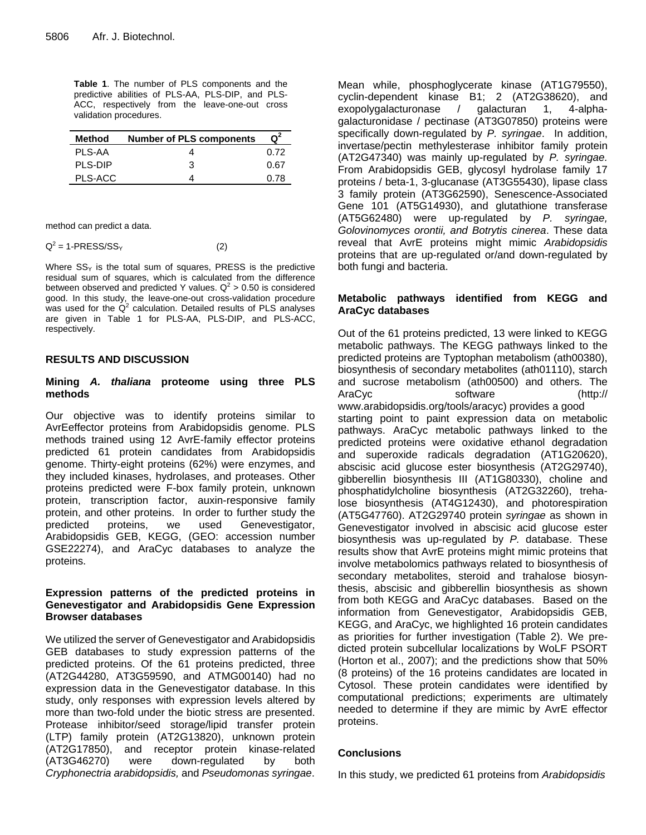**Table 1**. The number of PLS components and the predictive abilities of PLS-AA, PLS-DIP, and PLS-ACC, respectively from the leave-one-out cross validation procedures.

| Method  | <b>Number of PLS components</b> |      |
|---------|---------------------------------|------|
| PLS-AA  |                                 | በ 72 |
| PLS-DIP | з                               | 0.67 |
| PLS-ACC |                                 | በ 78 |

method can predict a data.

#### $Q^2 = 1$ -PRESS/SS<sub>Y</sub> (2)

Where  $SS<sub>Y</sub>$  is the total sum of squares, PRESS is the predictive residual sum of squares, which is calculated from the difference between observed and predicted Y values.  $Q^2 > 0.50$  is considered good. In this study, the leave-one-out cross-validation procedure was used for the  $Q^2$  calculation. Detailed results of PLS analyses are given in Table 1 for PLS-AA, PLS-DIP, and PLS-ACC, respectively.

# **RESULTS AND DISCUSSION**

# **Mining** *A. thaliana* **proteome using three PLS methods**

Our objective was to identify proteins similar to AvrEeffector proteins from Arabidopsidis genome. PLS methods trained using 12 AvrE-family effector proteins predicted 61 protein candidates from Arabidopsidis genome. Thirty-eight proteins (62%) were enzymes, and they included kinases, hydrolases, and proteases. Other proteins predicted were F-box family protein, unknown protein, transcription factor, auxin-responsive family protein, and other proteins. In order to further study the predicted proteins, we used Genevestigator, Arabidopsidis GEB, KEGG, (GEO: accession number GSE22274), and AraCyc databases to analyze the proteins.

# **Expression patterns of the predicted proteins in Genevestigator and Arabidopsidis Gene Expression Browser databases**

We utilized the server of Genevestigator and Arabidopsidis GEB databases to study expression patterns of the predicted proteins. Of the 61 proteins predicted, three (AT2G44280, AT3G59590, and ATMG00140) had no expression data in the Genevestigator database. In this study, only responses with expression levels altered by more than two-fold under the biotic stress are presented. Protease inhibitor/seed storage/lipid transfer protein (LTP) family protein (AT2G13820), unknown protein (AT2G17850), and receptor protein kinase-related (AT3G46270) were down-regulated by both *Cryphonectria arabidopsidis,* and *Pseudomonas syringae*. Mean while, phosphoglycerate kinase (AT1G79550), cyclin-dependent kinase B1; 2 (AT2G38620), and exopolygalacturonase / galacturan 1, 4-alphagalacturonidase / pectinase (AT3G07850) proteins were specifically down-regulated by *P. syringae*. In addition, invertase/pectin methylesterase inhibitor family protein (AT2G47340) was mainly up-regulated by *P. syringae.* From Arabidopsidis GEB, glycosyl hydrolase family 17 proteins / beta-1, 3-glucanase (AT3G55430), lipase class 3 family protein (AT3G62590), Senescence-Associated Gene 101 (AT5G14930), and glutathione transferase (AT5G62480) were up-regulated by *P. syringae, Golovinomyces orontii, and Botrytis cinerea*. These data reveal that AvrE proteins might mimic *Arabidopsidis* proteins that are up-regulated or/and down-regulated by both fungi and bacteria.

# **Metabolic pathways identified from KEGG and AraCyc databases**

Out of the 61 proteins predicted, 13 were linked to KEGG metabolic pathways. The KEGG pathways linked to the predicted proteins are Typtophan metabolism (ath00380), biosynthesis of secondary metabolites (ath01110), starch and sucrose metabolism (ath00500) and others. The AraCyc software (http:// www.arabidopsidis.org/tools/aracyc) provides a good starting point to paint expression data on metabolic pathways. AraCyc metabolic pathways linked to the predicted proteins were oxidative ethanol degradation and superoxide radicals degradation (AT1G20620), abscisic acid glucose ester biosynthesis (AT2G29740), gibberellin biosynthesis III (AT1G80330), choline and phosphatidylcholine biosynthesis (AT2G32260), trehalose biosynthesis (AT4G12430), and photorespiration (AT5G47760). AT2G29740 protein *syringae* as shown in Genevestigator involved in abscisic acid glucose ester biosynthesis was up-regulated by *P.* database. These results show that AvrE proteins might mimic proteins that involve metabolomics pathways related to biosynthesis of secondary metabolites, steroid and trahalose biosynthesis, abscisic and gibberellin biosynthesis as shown from both KEGG and AraCyc databases. Based on the information from Genevestigator, Arabidopsidis GEB, KEGG, and AraCyc, we highlighted 16 protein candidates as priorities for further investigation (Table 2). We predicted protein subcellular localizations by WoLF PSORT (Horton et al., 2007); and the predictions show that 50% (8 proteins) of the 16 proteins candidates are located in Cytosol. These protein candidates were identified by computational predictions; experiments are ultimately needed to determine if they are mimic by AvrE effector proteins.

## **Conclusions**

In this study, we predicted 61 proteins from *Arabidopsidis*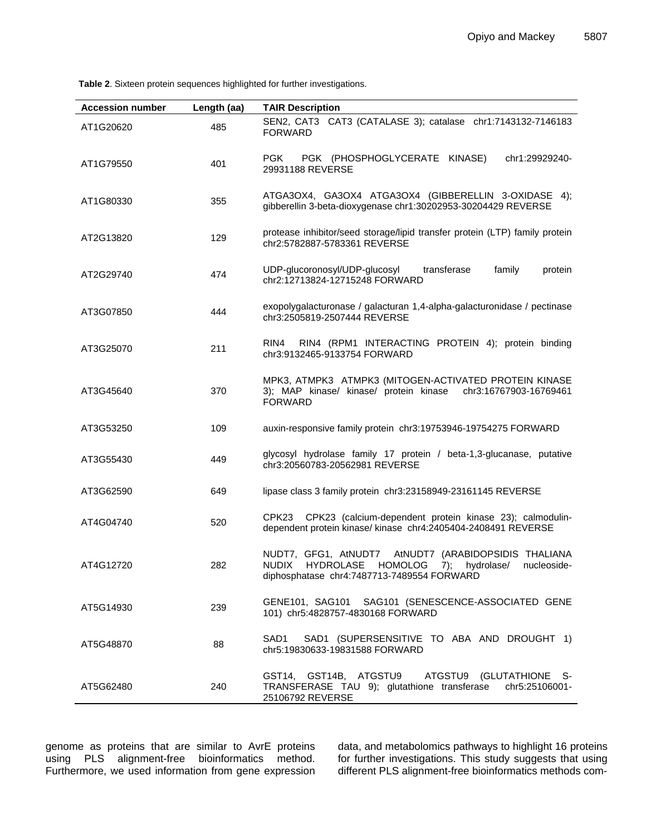**Table 2**. Sixteen protein sequences highlighted for further investigations.

| <b>Accession number</b> | Length (aa) | <b>TAIR Description</b>                                                                                                                                        |
|-------------------------|-------------|----------------------------------------------------------------------------------------------------------------------------------------------------------------|
| AT1G20620               | 485         | SEN2, CAT3 CAT3 (CATALASE 3); catalase chr1:7143132-7146183<br><b>FORWARD</b>                                                                                  |
| AT1G79550               | 401         | PGK (PHOSPHOGLYCERATE KINASE)<br>chr1:29929240-<br>PGK<br>29931188 REVERSE                                                                                     |
| AT1G80330               | 355         | ATGA3OX4, GA3OX4 ATGA3OX4 (GIBBERELLIN 3-OXIDASE 4);<br>gibberellin 3-beta-dioxygenase chr1:30202953-30204429 REVERSE                                          |
| AT2G13820               | 129         | protease inhibitor/seed storage/lipid transfer protein (LTP) family protein<br>chr2:5782887-5783361 REVERSE                                                    |
| AT2G29740               | 474         | UDP-glucoronosyl/UDP-glucosyl<br>transferase<br>family<br>protein<br>chr2:12713824-12715248 FORWARD                                                            |
| AT3G07850               | 444         | exopolygalacturonase / galacturan 1,4-alpha-galacturonidase / pectinase<br>chr3:2505819-2507444 REVERSE                                                        |
| AT3G25070               | 211         | RIN4 (RPM1 INTERACTING PROTEIN 4); protein binding<br>RIN4<br>chr3:9132465-9133754 FORWARD                                                                     |
| AT3G45640               | 370         | MPK3, ATMPK3 ATMPK3 (MITOGEN-ACTIVATED PROTEIN KINASE<br>3); MAP kinase/ kinase/ protein kinase chr3:16767903-16769461<br><b>FORWARD</b>                       |
| AT3G53250               | 109         | auxin-responsive family protein chr3:19753946-19754275 FORWARD                                                                                                 |
| AT3G55430               | 449         | glycosyl hydrolase family 17 protein / beta-1,3-glucanase, putative<br>chr3:20560783-20562981 REVERSE                                                          |
| AT3G62590               | 649         | lipase class 3 family protein chr3:23158949-23161145 REVERSE                                                                                                   |
| AT4G04740               | 520         | CPK23 (calcium-dependent protein kinase 23); calmodulin-<br>CPK23<br>dependent protein kinase/ kinase chr4:2405404-2408491 REVERSE                             |
| AT4G12720               | 282         | NUDT7, GFG1, AtNUDT7 AtNUDT7 (ARABIDOPSIDIS THALIANA<br>NUDIX HYDROLASE<br>HOMOLOG 7); hydrolase/<br>nucleoside-<br>diphosphatase chr4:7487713-7489554 FORWARD |
| AT5G14930               | 239         | GENE101, SAG101 SAG101 (SENESCENCE-ASSOCIATED GENE<br>101) chr5:4828757-4830168 FORWARD                                                                        |
| AT5G48870               | 88          | SAD1<br>SAD1 (SUPERSENSITIVE TO ABA AND DROUGHT 1)<br>chr5:19830633-19831588 FORWARD                                                                           |
| AT5G62480               | 240         | GST14, GST14B, ATGSTU9<br>ATGSTU9 (GLUTATHIONE S-<br>TRANSFERASE TAU 9); glutathione transferase<br>chr5:25106001-<br>25106792 REVERSE                         |

genome as proteins that are similar to AvrE proteins using PLS alignment-free bioinformatics method. Furthermore, we used information from gene expression data, and metabolomics pathways to highlight 16 proteins for further investigations. This study suggests that using different PLS alignment-free bioinformatics methods com